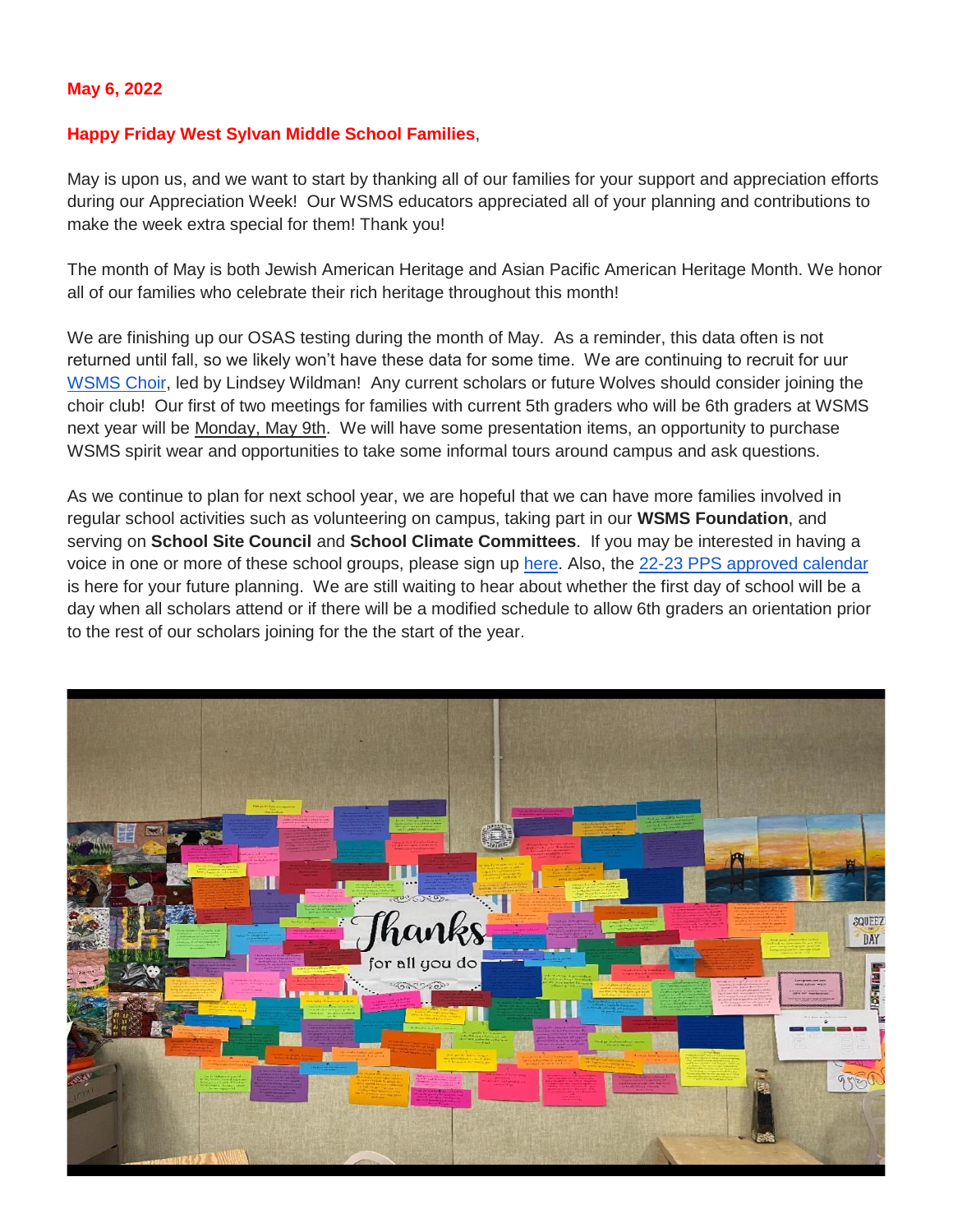#### **May 6, 2022**

#### **Happy Friday West Sylvan Middle School Families**,

May is upon us, and we want to start by thanking all of our families for your support and appreciation efforts during our Appreciation Week! Our WSMS educators appreciated all of your planning and contributions to make the week extra special for them! Thank you!

The month of May is both Jewish American Heritage and Asian Pacific American Heritage Month. We honor all of our families who celebrate their rich heritage throughout this month!

We are finishing up our OSAS testing during the month of May. As a reminder, this data often is not returned until fall, so we likely won't have these data for some time. We are continuing to recruit for uur [WSMS Choir,](https://www.pps.net/cms/lib/OR01913224/Centricity/Domain/160/Choir.jpg) led by Lindsey Wildman! Any current scholars or future Wolves should consider joining the choir club! Our first of two meetings for families with current 5th graders who will be 6th graders at WSMS next year will be Monday, May 9th. We will have some presentation items, an opportunity to purchase WSMS spirit wear and opportunities to take some informal tours around campus and ask questions.

As we continue to plan for next school year, we are hopeful that we can have more families involved in regular school activities such as volunteering on campus, taking part in our **WSMS Foundation**, and serving on **School Site Council** and **School Climate Committees**. If you may be interested in having a voice in one or more of these school groups, please sign up [here.](https://forms.gle/FSm61TFDpf34yZ2e9) Also, the [22-23 PPS approved calendar](https://drive.google.com/file/d/16EfYsTSv4zPCaLpkxQlc5eFqWAvIDBtl/view?usp=sharing) is here for your future planning. We are still waiting to hear about whether the first day of school will be a day when all scholars attend or if there will be a modified schedule to allow 6th graders an orientation prior to the rest of our scholars joining for the the start of the year.

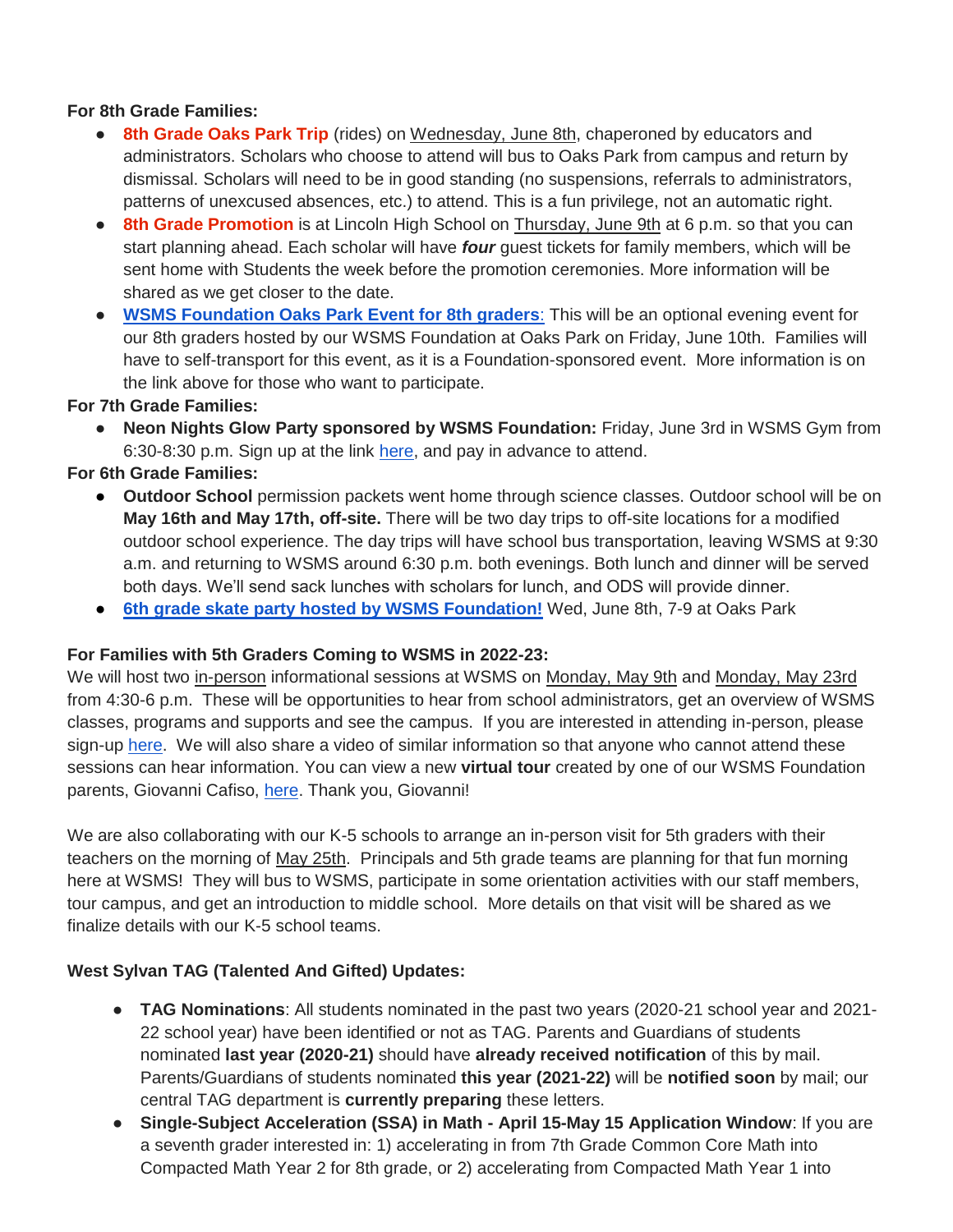## **For 8th Grade Families:**

- **8th Grade Oaks Park Trip** (rides) on Wednesday, June 8th, chaperoned by educators and administrators. Scholars who choose to attend will bus to Oaks Park from campus and return by dismissal. Scholars will need to be in good standing (no suspensions, referrals to administrators, patterns of unexcused absences, etc.) to attend. This is a fun privilege, not an automatic right.
- **8th Grade Promotion** is at Lincoln High School on Thursday, June 9th at 6 p.m. so that you can start planning ahead. Each scholar will have *four* guest tickets for family members, which will be sent home with Students the week before the promotion ceremonies. More information will be shared as we get closer to the date.
- **[WSMS Foundation Oaks Park Event for 8th graders](https://www.westsylvanfoundation.com/parties/8th-grade-graduation-dance-party)**[:](https://www.westsylvanfoundation.com/parties/8th-grade-graduation-dance-party) This will be an optional evening event for our 8th graders hosted by our WSMS Foundation at Oaks Park on Friday, June 10th. Families will have to self-transport for this event, as it is a Foundation-sponsored event. More information is on the link above for those who want to participate.

### **For 7th Grade Families:**

● **Neon Nights Glow Party sponsored by WSMS Foundation:** Friday, June 3rd in WSMS Gym from 6:30-8:30 p.m. Sign up at the link [here,](https://www.westsylvanfoundation.com/parties/7thgradeglowparty) and pay in advance to attend.

### **For 6th Grade Families:**

- **Outdoor School** permission packets went home through science classes. Outdoor school will be on **May 16th and May 17th, off-site.** There will be two day trips to off-site locations for a modified outdoor school experience. The day trips will have school bus transportation, leaving WSMS at 9:30 a.m. and returning to WSMS around 6:30 p.m. both evenings. Both lunch and dinner will be served both days. We'll send sack lunches with scholars for lunch, and ODS will provide dinner.
- **[6th grade skate party hosted by WSMS Foundation!](https://drive.google.com/file/d/1HX8ZSQKzyqWvLRfXLGu2Y1wta5BjPMTa/view?usp=sharing)** Wed, June 8th, 7-9 at Oaks Park

### **For Families with 5th Graders Coming to WSMS in 2022-23:**

We will host two in-person informational sessions at WSMS on Monday, May 9th and Monday, May 23rd from 4:30-6 p.m. These will be opportunities to hear from school administrators, get an overview of WSMS classes, programs and supports and see the campus. If you are interested in attending in-person, please sign-up [here.](https://forms.gle/ZnyhEwFhjWuacQd6A) We will also share a video of similar information so that anyone who cannot attend these sessions can hear information. You can view a new **virtual tour** created by one of our WSMS Foundation parents, Giovanni Cafiso, [here.](https://my.matterport.com/show/?m=hR5ohrTKjow) Thank you, Giovanni!

We are also collaborating with our K-5 schools to arrange an in-person visit for 5th graders with their teachers on the morning of May 25th. Principals and 5th grade teams are planning for that fun morning here at WSMS! They will bus to WSMS, participate in some orientation activities with our staff members, tour campus, and get an introduction to middle school. More details on that visit will be shared as we finalize details with our K-5 school teams.

## **West Sylvan TAG (Talented And Gifted) Updates:**

- **TAG Nominations**: All students nominated in the past two years (2020-21 school year and 2021- 22 school year) have been identified or not as TAG. Parents and Guardians of students nominated **last year (2020-21)** should have **already received notification** of this by mail. Parents/Guardians of students nominated **this year (2021-22)** will be **notified soon** by mail; our central TAG department is **currently preparing** these letters.
- **Single-Subject Acceleration (SSA) in Math - April 15-May 15 Application Window**: If you are a seventh grader interested in: 1) accelerating in from 7th Grade Common Core Math into Compacted Math Year 2 for 8th grade, or 2) accelerating from Compacted Math Year 1 into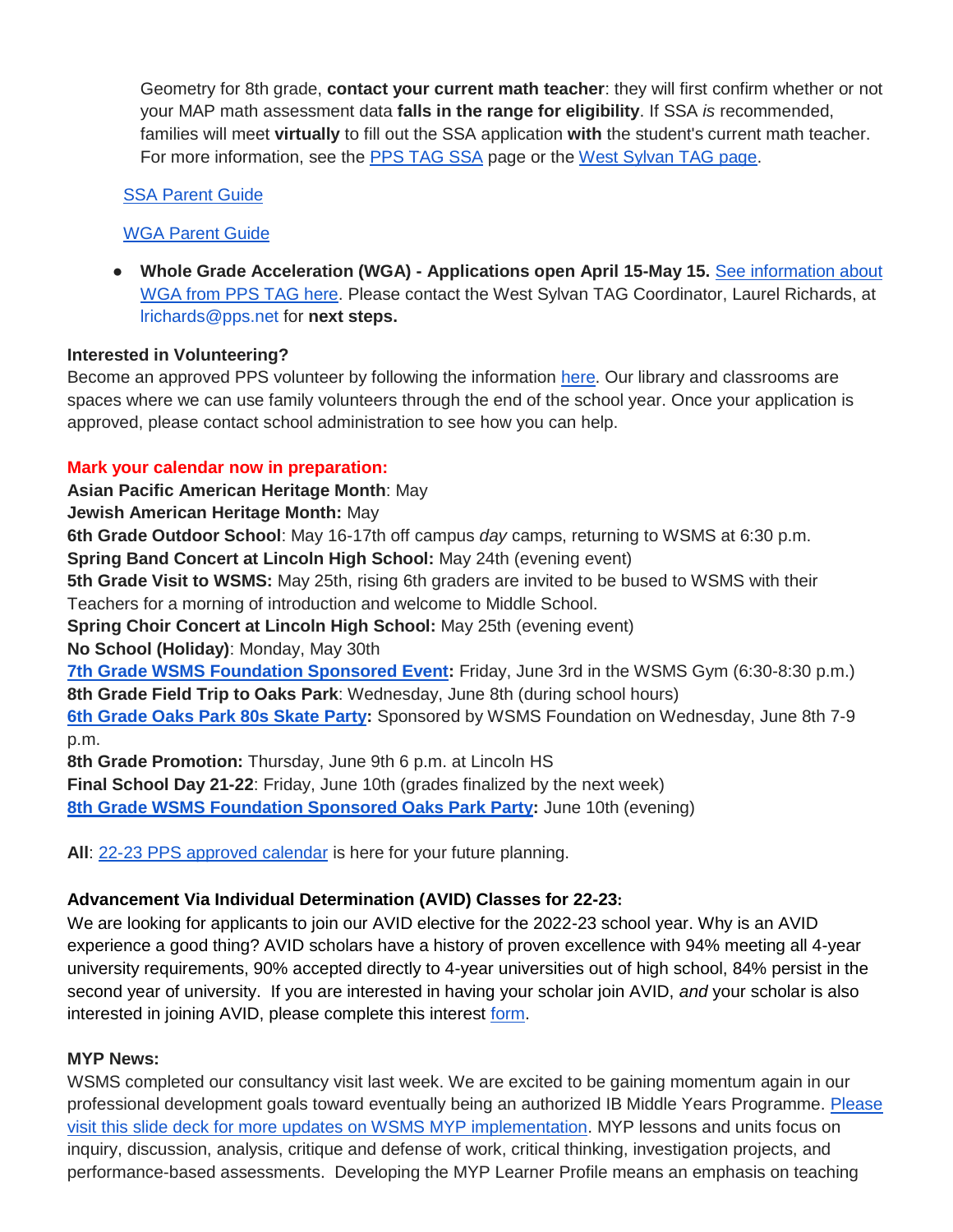Geometry for 8th grade, **contact your current math teacher**: they will first confirm whether or not your MAP math assessment data **falls in the range for eligibility**. If SSA *is* recommended, families will meet **virtually** to fill out the SSA application **with** the student's current math teacher. For more information, see the [PPS TAG SSA](https://www.pps.net/Page/2886) page or the [West Sylvan TAG page.](https://sites.google.com/pps.net/west-sylvan-tag/)

## [SSA Parent Guide](https://drive.google.com/file/d/1uyNxlw2MiYVSYrKfgEChsEQjTWw-Fz_V/view?usp=sharing)

## [WGA Parent Guide](https://drive.google.com/file/d/1AT8aGRXhvghzlB3N1zRAvzEdnpgH_EtN/view?usp=sharing)

● **Whole Grade Acceleration (WGA) - Applications open April 15-May 15.** [See information about](https://www.pps.net/Page/2888)  [WGA from PPS TAG here.](https://www.pps.net/Page/2888) Please contact the West Sylvan TAG Coordinator, Laurel Richards, at lrichards@pps.net for **next steps.**

## **Interested in Volunteering?**

Become an approved PPS volunteer by following the information [here.](https://www.pps.net/volunteer) Our library and classrooms are spaces where we can use family volunteers through the end of the school year. Once your application is approved, please contact school administration to see how you can help.

# **Mark your calendar now in preparation:**

**Asian Pacific American Heritage Month**: May

**Jewish American Heritage Month:** May

**6th Grade Outdoor School**: May 16-17th off campus *day* camps, returning to WSMS at 6:30 p.m.

**Spring Band Concert at Lincoln High School:** May 24th (evening event)

**5th Grade Visit to WSMS:** May 25th, rising 6th graders are invited to be bused to WSMS with their Teachers for a morning of introduction and welcome to Middle School.

**Spring Choir Concert at Lincoln High School:** May 25th (evening event)

**No School (Holiday)**: Monday, May 30th

**[7th Grade WSMS Foundation Sponsored Event:](https://www.westsylvanfoundation.com/parties/7thgradeglowparty)** Friday, June 3rd in the WSMS Gym (6:30-8:30 p.m.) **8th Grade Field Trip to Oaks Park**: Wednesday, June 8th (during school hours)

**[6th Grade Oaks Park 80s Skate Party:](https://drive.google.com/file/d/1HX8ZSQKzyqWvLRfXLGu2Y1wta5BjPMTa/view?usp=sharing)** Sponsored by WSMS Foundation on Wednesday, June 8th 7-9 p.m.

**8th Grade Promotion:** Thursday, June 9th 6 p.m. at Lincoln HS

**Final School Day 21-22**: Friday, June 10th (grades finalized by the next week)

**[8th Grade WSMS Foundation Sponsored Oaks Park Party:](https://drive.google.com/file/d/1Xmnh7GZQ4CeU37XYKCGmhbngkxRpoOOp/view?usp=sharing)** June 10th (evening)

**All**: [22-23 PPS approved calendar](https://drive.google.com/file/d/16EfYsTSv4zPCaLpkxQlc5eFqWAvIDBtl/view?usp=sharing) is here for your future planning.

## **Advancement Via Individual Determination (AVID) Classes for 22-23:**

We are looking for applicants to join our AVID elective for the 2022-23 school year. Why is an AVID experience a good thing? AVID scholars have a history of proven excellence with 94% meeting all 4-year university requirements, 90% accepted directly to 4-year universities out of high school, 84% persist in the second year of university. If you are interested in having your scholar join AVID, *and* your scholar is also interested in joining AVID, please complete this interest [form.](https://docs.google.com/forms/d/e/1FAIpQLSdpPNrTbbG1YoO1o0bwfKFg3SDu-UarWp5LE59aNPm0xsaCQg/viewform?usp=sf_link)

## **MYP News:**

WSMS completed our consultancy visit last week. We are excited to be gaining momentum again in our professional development goals toward eventually being an authorized IB Middle Years Programme. [Please](https://docs.google.com/presentation/d/17SY-I5PfW5t18hZZ0ELhA85-iVSoBrj6_zKBGUaFTP8/edit?usp=sharing)  [visit this slide deck for more updates on WSMS MYP implementation.](https://docs.google.com/presentation/d/17SY-I5PfW5t18hZZ0ELhA85-iVSoBrj6_zKBGUaFTP8/edit?usp=sharing) MYP lessons and units focus on inquiry, discussion, analysis, critique and defense of work, critical thinking, investigation projects, and performance-based assessments. Developing the MYP Learner Profile means an emphasis on teaching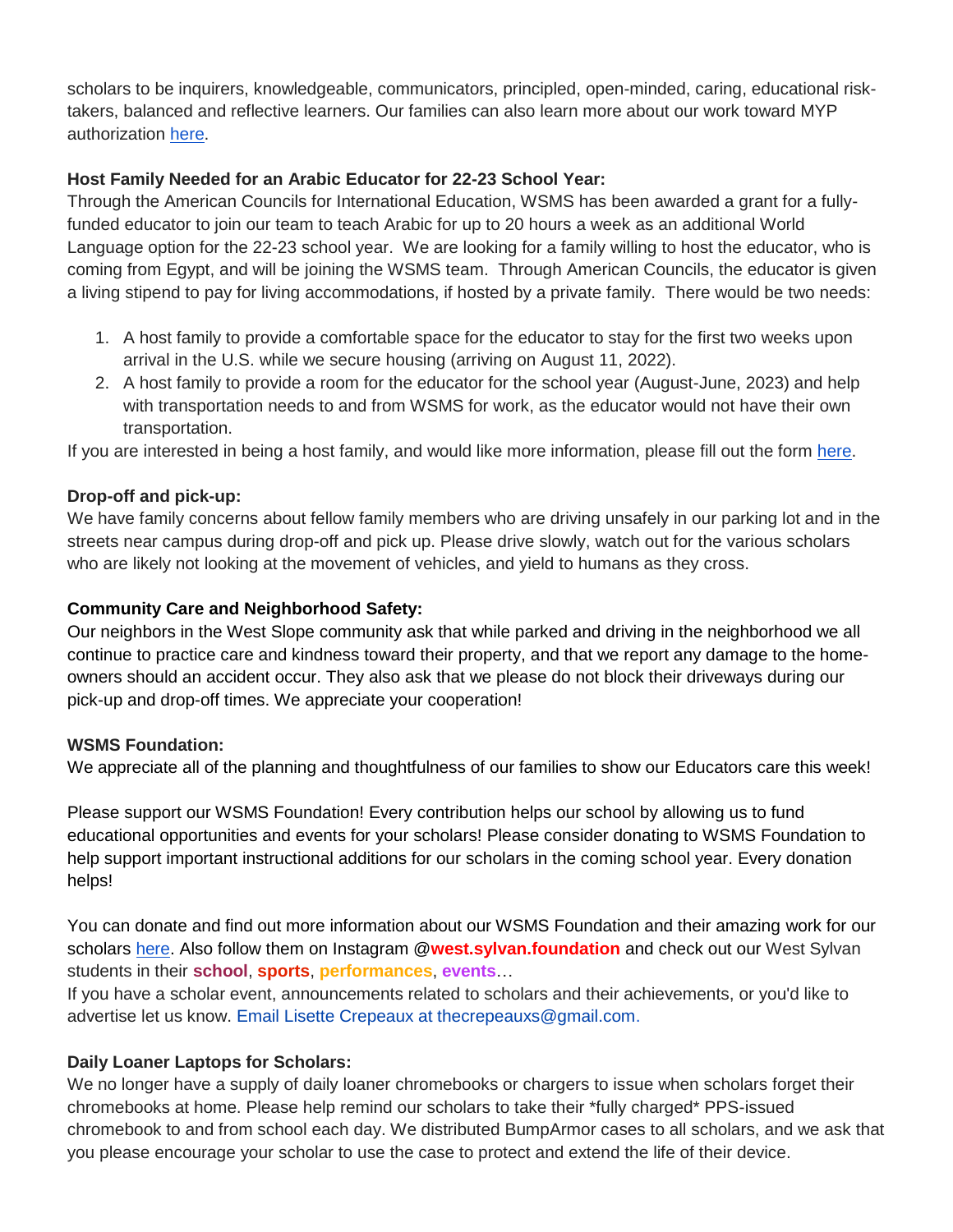scholars to be inquirers, knowledgeable, communicators, principled, open-minded, caring, educational risktakers, balanced and reflective learners. Our families can also learn more about our work toward MYP authorization [here.](https://sites.google.com/pps.net/west-sylvan-myp/)

## **Host Family Needed for an Arabic Educator for 22-23 School Year:**

Through the American Councils for International Education, WSMS has been awarded a grant for a fullyfunded educator to join our team to teach Arabic for up to 20 hours a week as an additional World Language option for the 22-23 school year. We are looking for a family willing to host the educator, who is coming from Egypt, and will be joining the WSMS team. Through American Councils, the educator is given a living stipend to pay for living accommodations, if hosted by a private family. There would be two needs:

- 1. A host family to provide a comfortable space for the educator to stay for the first two weeks upon arrival in the U.S. while we secure housing (arriving on August 11, 2022).
- 2. A host family to provide a room for the educator for the school year (August-June, 2023) and help with transportation needs to and from WSMS for work, as the educator would not have their own transportation.

If you are interested in being a host family, and would like more information, please fill out the form [here.](https://forms.gle/Ljte5CwpWQZtUZCN6)

# **Drop-off and pick-up:**

We have family concerns about fellow family members who are driving unsafely in our parking lot and in the streets near campus during drop-off and pick up. Please drive slowly, watch out for the various scholars who are likely not looking at the movement of vehicles, and yield to humans as they cross.

# **Community Care and Neighborhood Safety:**

Our neighbors in the West Slope community ask that while parked and driving in the neighborhood we all continue to practice care and kindness toward their property, and that we report any damage to the homeowners should an accident occur. They also ask that we please do not block their driveways during our pick-up and drop-off times. We appreciate your cooperation!

## **WSMS Foundation:**

We appreciate all of the planning and thoughtfulness of our families to show our Educators care this week!

Please support our WSMS Foundation! Every contribution helps our school by allowing us to fund educational opportunities and events for your scholars! Please consider donating to WSMS Foundation to help support important instructional additions for our scholars in the coming school year. Every donation helps!

You can donate and find out more information about our WSMS Foundation and their amazing work for our scholars [here.](https://www.westsylvanfoundation.com/) Also follow them on Instagram @**west.sylvan.foundation** and check out our West Sylvan students in their **school**, **sports**, **performances**, **events**…

If you have a scholar event, announcements related to scholars and their achievements, or you'd like to advertise let us know. Email Lisette Crepeaux at thecrepeauxs@gmail.com.

# **Daily Loaner Laptops for Scholars:**

We no longer have a supply of daily loaner chromebooks or chargers to issue when scholars forget their chromebooks at home. Please help remind our scholars to take their \*fully charged\* PPS-issued chromebook to and from school each day. We distributed BumpArmor cases to all scholars, and we ask that you please encourage your scholar to use the case to protect and extend the life of their device.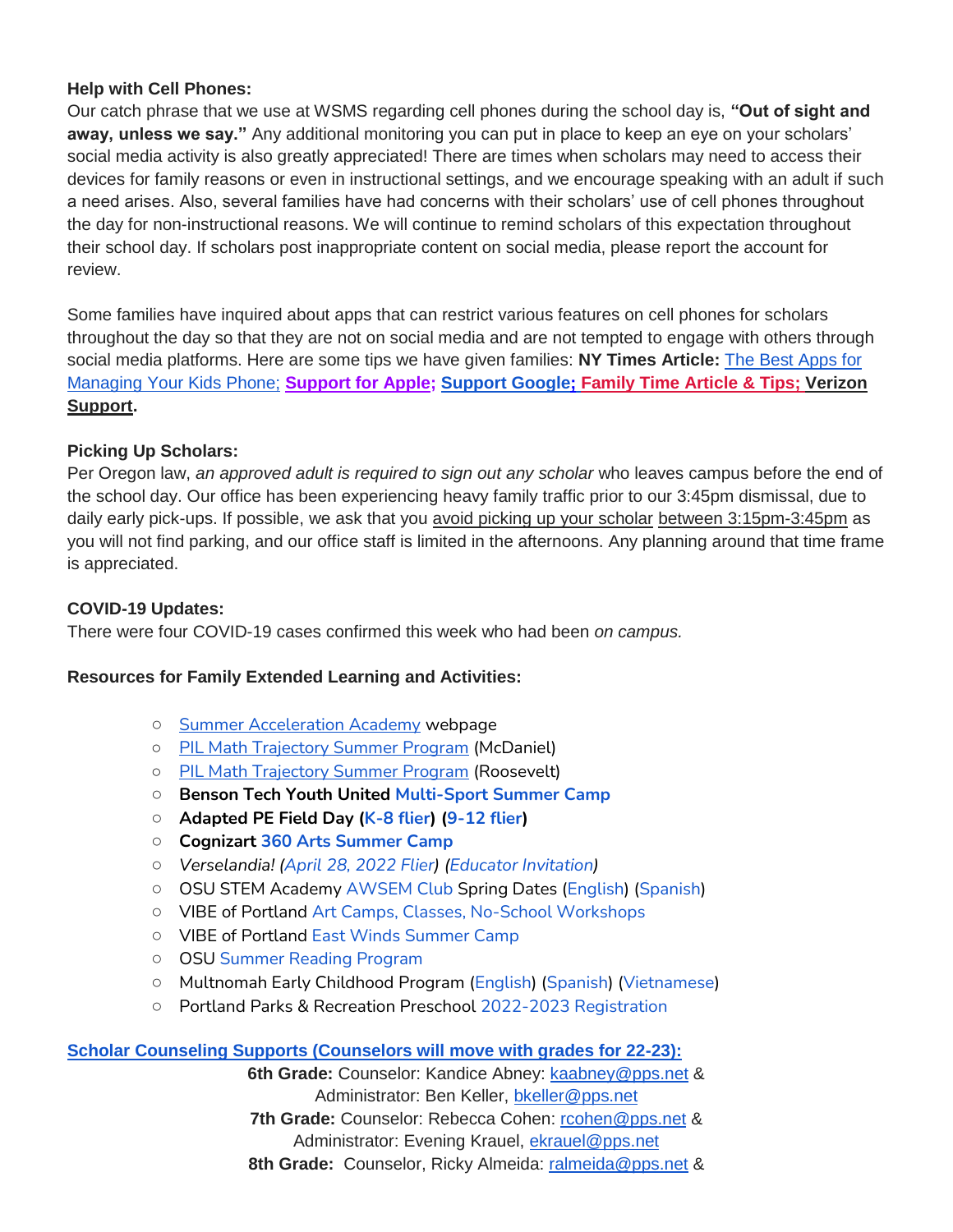### **Help with Cell Phones:**

Our catch phrase that we use at WSMS regarding cell phones during the school day is, **"Out of sight and away, unless we say."** Any additional monitoring you can put in place to keep an eye on your scholars' social media activity is also greatly appreciated! There are times when scholars may need to access their devices for family reasons or even in instructional settings, and we encourage speaking with an adult if such a need arises. Also, several families have had concerns with their scholars' use of cell phones throughout the day for non-instructional reasons. We will continue to remind scholars of this expectation throughout their school day. If scholars post inappropriate content on social media, please report the account for review.

Some families have inquired about apps that can restrict various features on cell phones for scholars throughout the day so that they are not on social media and are not tempted to engage with others through social media platforms. Here are some tips we have given families: **NY Times Article:** [The Best Apps for](https://www.nytimes.com/wirecutter/reviews/best-apps-to-manage-your-kids-phone/)  [Managing Your Kids Phone;](https://www.nytimes.com/wirecutter/reviews/best-apps-to-manage-your-kids-phone/) **[Support for Apple;](https://support.apple.com/guide/iphone/set-up-parental-controls-iph00ba7d632/ios) [Support Google](https://support.google.com/families/answer/7103340?hl=en)[;](https://familytime.io/) [Family Time Article & Tips;](https://familytime.io/) [Verizon](https://www.verizon.com/support/verizon-smart-family-restrictions-video/)  [Support.](https://www.verizon.com/support/verizon-smart-family-restrictions-video/)** 

## **Picking Up Scholars:**

Per Oregon law, *an approved adult is required to sign out any scholar* who leaves campus before the end of the school day. Our office has been experiencing heavy family traffic prior to our 3:45pm dismissal, due to daily early pick-ups. If possible, we ask that you avoid picking up your scholar between 3:15pm-3:45pm as you will not find parking, and our office staff is limited in the afternoons. Any planning around that time frame is appreciated.

### **COVID-19 Updates:**

There were four COVID-19 cases confirmed this week who had been *on campus.* 

### **Resources for Family Extended Learning and Activities:**

- o [Summer Acceleration Academy](https://www.pps.net/Page/18800) webpage
- [PIL Math Trajectory Summer Program](https://drive.google.com/file/d/1XarmInhnsUJjIuyCHFVA9LQRb8cNcT3e/view?ts=62743d49) (McDaniel)
- [PIL Math Trajectory Summer Program](https://drive.google.com/file/d/1L3IdHLV0aD_zJb5SYgHEJwbwQHtGHyrl/view?ts=62743d2b) (Roosevelt)
- **Benson Tech Youth United [Multi-Sport Summer Camp](https://www.pps.net/cms/lib/OR01913224/Centricity/Domain/254/Tech-Youth-United.pdf)**
- **Adapted PE Field Day [\(K-8 flier\)](https://docs.google.com/document/d/17BD2EPxtUqWPDV7DR1v7J_SytbtxZs6PLeFw2s3ZS5s/edit) [\(9-12 flier\)](https://docs.google.com/document/d/1urRRL6TDWbC-2TMClpTPmVF8B9hUmQIoPuQEtv-ELVo/edit)**
- **Cognizart [360 Arts Summer Camp](https://www.pps.net/cms/lib/OR01913224/Centricity/Domain/254/Cognizart-2022-360ArtsCamp.pdf)**
- *Verselandia! [\(April 28, 2022 Flier\)](https://www.pps.net/cms/lib/OR01913224/Centricity/Domain/254/Verselandia-2022-11_17-Poster.pdf) [\(Educator Invitation\)](https://www.pps.net/cms/lib/OR01913224/Centricity/Domain/254/Verselandia-2022-Educator_Invitation.pdf)*
- OSU STEM Academy [AWSEM Club](https://www.pps.net/cms/lib/OR01913224/Centricity/Domain/254/AWSEM_Flyer_Combined_General.pdf) Spring Dates [\(English\)](https://www.pps.net/cms/lib/OR01913224/Centricity/Domain/254/AWSEM_spring2022_English.pdf) [\(Spanish\)](https://www.pps.net/cms/lib/OR01913224/Centricity/Domain/254/AWSEM_spring2022_Spanish.pdf)
- VIBE of Portland [Art Camps, Classes, No-School Workshops](https://www.pps.net/cms/lib/OR01913224/Centricity/Domain/254/VIBE.jpeg)
- VIBE of Portland [East Winds Summer Camp](https://www.pps.net/cms/lib/OR01913224/Centricity/Domain/254/VIBE-east_winds_2022.jpeg)
- OSU [Summer Reading Program](https://www.pps.net/cms/lib/OR01913224/Centricity/Domain/254/OSU-reading-summer-2022.pdf)
- Multnomah Early Childhood Program [\(English\)](https://www.pps.net/cms/lib/OR01913224/Centricity/Domain/254/MECP-2021-22-PEER-Flyer-English.pdf) [\(Spanish\)](https://www.pps.net/cms/lib/OR01913224/Centricity/Domain/254/MECP-2021-22-PEER-Flyer-Spanish.pdf) [\(Vietnamese\)](https://www.pps.net/cms/lib/OR01913224/Centricity/Domain/254/MECP-2021-22-PEER-Flyer-Vietnamese.pdf)
- Portland Parks & Recreation Preschool [2022-2023 Registration](https://www.pps.net/cms/lib/OR01913224/Centricity/Domain/254/PPR-Preschool-22-23-price-sheet.pdf)

## **[Scholar Counseling Supports \(Counselors will move with grades for 22-23\):](https://sites.google.com/pps.net/west-sylvan-counseling/)**

**6th Grade:** Counselor: Kandice Abney: [kaabney@pps.net](mailto:kaabney@pps.net) & Administrator: Ben Keller, [bkeller@pps.net](mailto:bkeller@pps.net) **7th Grade:** Counselor: Rebecca Cohen: [rcohen@pps.net](mailto:rcohen@pps.net) & Administrator: Evening Krauel, [ekrauel@pps.net](mailto:ekrauel@pps.net) 8th Grade: Counselor, Ricky Almeida: [ralmeida@pps.net](mailto:ralmeida@pps.net) &